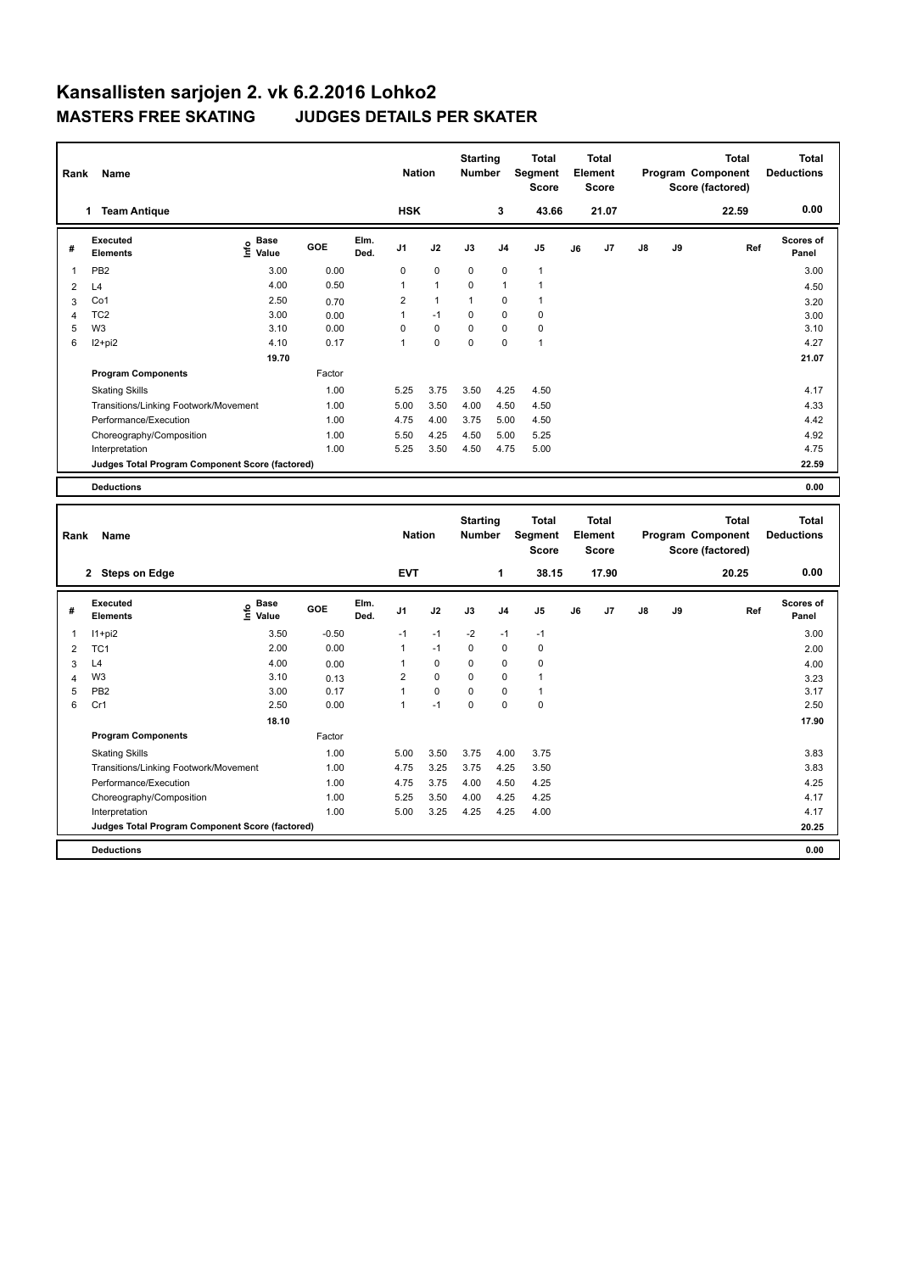## **Kansallisten sarjojen 2. vk 6.2.2016 Lohko2 MASTERS FREE SKATING JUDGES DETAILS PER SKATER**

**Program Components** 

|                | Rank<br>Name                                    |                              |            |               |                | <b>Nation</b>                    |              | <b>Starting</b><br><b>Number</b>               | <b>Total</b><br>Segment<br><b>Score</b> |       | Total<br>Element<br>Score |            |                                  | <b>Total</b><br>Program Component<br>Score (factored) | <b>Total</b><br><b>Deductions</b> |
|----------------|-------------------------------------------------|------------------------------|------------|---------------|----------------|----------------------------------|--------------|------------------------------------------------|-----------------------------------------|-------|---------------------------|------------|----------------------------------|-------------------------------------------------------|-----------------------------------|
|                | 1 Team Antique                                  |                              |            |               | <b>HSK</b>     |                                  |              | 3                                              | 43.66                                   |       | 21.07                     |            |                                  | 22.59                                                 | 0.00                              |
| #              | <b>Executed</b><br><b>Elements</b>              | <b>Base</b><br>١nfo<br>Value | <b>GOE</b> | Elm.<br>Ded.  | J1             | J2                               | J3           | J <sub>4</sub>                                 | J <sub>5</sub>                          | J6    | J7                        | ${\sf J8}$ | J9                               | Ref                                                   | Scores of<br>Panel                |
| 1              | PB <sub>2</sub>                                 | 3.00                         | 0.00       |               | 0              | $\mathbf 0$                      | $\mathbf 0$  | $\mathbf 0$                                    | $\mathbf{1}$                            |       |                           |            |                                  |                                                       | 3.00                              |
| $\overline{2}$ | L4                                              | 4.00                         | 0.50       |               | $\mathbf{1}$   | $\mathbf{1}$                     | 0            | $\mathbf{1}$                                   | $\mathbf{1}$                            |       |                           |            |                                  |                                                       | 4.50                              |
| 3              | Co1                                             | 2.50                         | 0.70       |               | 2              | $\mathbf{1}$                     | $\mathbf{1}$ | $\mathbf 0$                                    | $\mathbf{1}$                            |       |                           |            |                                  |                                                       | 3.20                              |
| 4              | TC <sub>2</sub>                                 | 3.00                         | 0.00       |               | $\mathbf{1}$   | $-1$                             | 0            | $\mathbf 0$                                    | $\pmb{0}$                               |       |                           |            |                                  |                                                       | 3.00                              |
| 5              | W <sub>3</sub>                                  | 3.10                         | 0.00       |               | 0              | $\pmb{0}$                        | $\mathbf 0$  | $\mathbf 0$                                    | $\pmb{0}$                               |       |                           |            |                                  |                                                       | 3.10                              |
| 6              | $12+pi2$                                        | 4.10                         | 0.17       |               | $\mathbf{1}$   | $\mathbf 0$                      | $\mathbf 0$  | $\mathbf 0$                                    | $\mathbf{1}$                            |       |                           |            |                                  |                                                       | 4.27                              |
|                |                                                 | 19.70                        |            |               |                |                                  |              |                                                |                                         |       |                           |            |                                  |                                                       | 21.07                             |
|                | <b>Program Components</b>                       |                              | Factor     |               |                |                                  |              |                                                |                                         |       |                           |            |                                  |                                                       |                                   |
|                | <b>Skating Skills</b>                           |                              | 1.00       |               | 5.25           | 3.75                             | 3.50         | 4.25                                           | 4.50                                    |       |                           |            |                                  |                                                       | 4.17                              |
|                | Transitions/Linking Footwork/Movement           |                              | 1.00       |               | 5.00           | 3.50                             | 4.00         | 4.50                                           | 4.50                                    |       |                           |            |                                  |                                                       | 4.33                              |
|                | Performance/Execution                           |                              | 1.00       |               | 4.75           | 4.00                             | 3.75         | 5.00                                           | 4.50                                    |       |                           |            |                                  |                                                       | 4.42                              |
|                | Choreography/Composition                        |                              | 1.00       |               | 5.50           | 4.25                             | 4.50         | 5.00                                           | 5.25                                    |       |                           |            |                                  |                                                       | 4.92                              |
|                | Interpretation                                  |                              | 1.00       |               | 5.25           | 3.50                             | 4.50         | 4.75                                           | 5.00                                    |       |                           |            |                                  |                                                       | 4.75                              |
|                | Judges Total Program Component Score (factored) |                              |            |               |                |                                  |              |                                                |                                         |       |                           |            |                                  |                                                       | 22.59                             |
|                |                                                 |                              |            |               |                |                                  |              |                                                |                                         |       |                           |            |                                  |                                                       |                                   |
|                | <b>Deductions</b>                               |                              |            |               |                |                                  |              |                                                |                                         |       |                           |            |                                  |                                                       | 0.00                              |
|                |                                                 |                              |            |               |                |                                  |              |                                                |                                         |       |                           |            |                                  |                                                       |                                   |
|                | Rank<br>Name                                    |                              |            | <b>Nation</b> |                | <b>Starting</b><br><b>Number</b> |              | <b>Total</b><br><b>Segment</b><br><b>Score</b> | <b>Total</b><br>Element<br><b>Score</b> |       | Program Component         |            | <b>Total</b><br>Score (factored) | <b>Total</b><br><b>Deductions</b>                     |                                   |
|                | 2 Steps on Edge                                 |                              |            |               | <b>EVT</b>     |                                  |              | 1                                              | 38.15                                   | 17.90 |                           |            |                                  | 20.25                                                 | 0.00                              |
| #              | <b>Executed</b><br><b>Elements</b>              | <b>Base</b><br>Info<br>Value | GOE        | Elm.<br>Ded.  | J <sub>1</sub> | J2                               | J3           | J4                                             | J5                                      | J6    | J7                        | J8         | J9                               | Ref                                                   | <b>Scores of</b><br>Panel         |
| 1              | $11+pi2$                                        | 3.50                         | $-0.50$    |               | $-1$           | $-1$                             | $-2$         | $-1$                                           | $-1$                                    |       |                           |            |                                  |                                                       | 3.00                              |
| $\overline{2}$ | TC <sub>1</sub>                                 | 2.00                         | 0.00       |               | $\mathbf{1}$   | $-1$                             | $\mathbf 0$  | $\mathbf 0$                                    | 0                                       |       |                           |            |                                  |                                                       | 2.00                              |
| 3              | L4                                              | 4.00                         | 0.00       |               | 1              | $\mathbf 0$                      | $\Omega$     | $\mathbf 0$                                    | 0                                       |       |                           |            |                                  |                                                       | 4.00                              |
| $\overline{4}$ | W <sub>3</sub>                                  | 3.10                         | 0.13       |               | 2              | $\mathbf 0$                      | $\mathbf 0$  | $\mathbf 0$                                    | $\mathbf{1}$                            |       |                           |            |                                  |                                                       | 3.23                              |
| 5              | PB <sub>2</sub>                                 | 3.00                         | 0.17       |               | $\mathbf{1}$   | $\Omega$                         | $\Omega$     | $\Omega$                                       | $\mathbf{1}$                            |       |                           |            |                                  |                                                       | 3.17                              |

6 Cr1 2.50 0.00 1 -1 0 0 0 2.50

Factor

Skating Skills 5.00 3.50 3.75 4.00 3.75 1.00 3.83

Transitions/Linking Footwork/Movement 1.00 4.75 3.25 3.75 4.25 3.50 3.83 Performance/Execution 1.00 4.75 3.75 4.00 4.50 4.25 4.25 Choreography/Composition 1.00 5.25 3.50 4.00 4.25 4.25 4.17 Interpretation 1.00 5.00 3.25 4.25 4.25 4.00 4.17

**Deductions 0.00 Judges Total Program Component Score (factored) 20.25**

 **18.10 17.90**